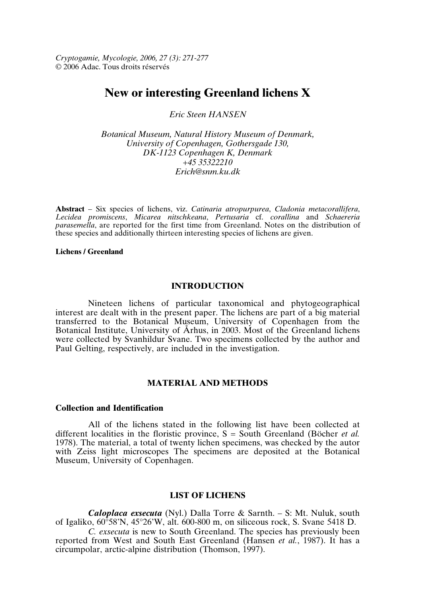*Cryptogamie, Mycologie, 2006, 27 (3): 271-277* © 2006 Adac. Tous droits réservés

# **New or interesting Greenland lichens X**

*Eric Steen HANSEN*

*Botanical Museum, Natural History Museum of Denmark, University of Copenhagen, Gothersgade 130, DK-1123 Copenhagen K, Denmark +45 35322210 Erich@snm.ku.dk*

**Abstract** – Six species of lichens, viz. *Catinaria atropurpurea*, *Cladonia metacorallifera*, *Lecidea promiscens*, *Micarea nitschkeana*, *Pertusaria* cf. *corallina* and *Schaereria parasemella*, are reported for the first time from Greenland. Notes on the distribution of these species and additionally thirteen interesting species of lichens are given.

#### **Lichens / Greenland**

# **INTRODUCTION**

Nineteen lichens of particular taxonomical and phytogeographical interest are dealt with in the present paper. The lichens are part of a big material transferred to the Botanical Museum, University of Copenhagen from the Botanical Institute, University of Århus, in 2003. Most of the Greenland lichens were collected by Svanhildur Svane. Two specimens collected by the author and Paul Gelting, respectively, are included in the investigation.

# **MATERIAL AND METHODS**

### **Collection and Identification**

All of the lichens stated in the following list have been collected at different localities in the floristic province, S = South Greenland (Böcher *et al.* 1978). The material, a total of twenty lichen specimens, was checked by the autor with Zeiss light microscopes The specimens are deposited at the Botanical Museum, University of Copenhagen.

# **LIST OF LICHENS**

*Caloplaca exsecuta* (Nyl.) Dalla Torre & Sarnth. – S: Mt. Nuluk, south of Igaliko, 60°58'N, 45°26'W, alt. 600-800 m, on siliceous rock, S. Svane 5418 D.

*C. exsecuta* is new to South Greenland. The species has previously been reported from West and South East Greenland (Hansen *et al.*, 1987). It has a circumpolar, arctic-alpine distribution (Thomson, 1997).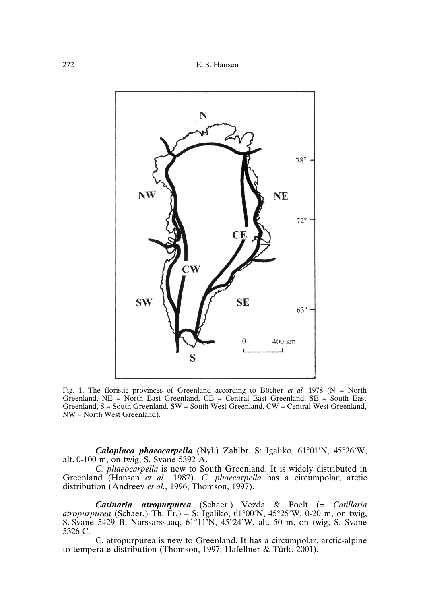272 E. S. Hansen



Fig. 1. The floristic provinces of Greenland according to Böcher *et al.* 1978 (N = North Greenland,  $NE = North$  East Greenland,  $CE = Central$  East Greenland,  $SE = South$  East Greenland,  $S =$  South Greenland,  $SW =$  South West Greenland,  $CW =$  Central West Greenland, NW = North West Greenland).

*Caloplaca phaeocarpella* (Nyl.) Zahlbr. S: Igaliko, 61°01'N, 45°26'W, alt. 0-100 m, on twig, S. Svane 5392 A.

*C. phaeocarpella* is new to South Greenland. It is widely distributed in Greenland (Hansen *et al.*, 1987). *C. phaecarpella* has a circumpolar, arctic distribution (Andreev *et al.*, 1996; Thomson, 1997).

*Catinaria atropurpurea* (Schaer.) Vezda & Poelt (= *Catillaria atropurpurea* (Schaer.) Th. Fr.) – S: Igaliko, 61°00'N, 45°25'W, 0-20 m, on twig, S. Svane 5429 B; Narssarssuaq, 61°11'N, 45°24'W, alt. 50 m, on twig, S. Svane 5326 C.

C. atropurpurea is new to Greenland. It has a circumpolar, arctic-alpine to temperate distribution (Thomson, 1997; Hafellner & Türk, 2001).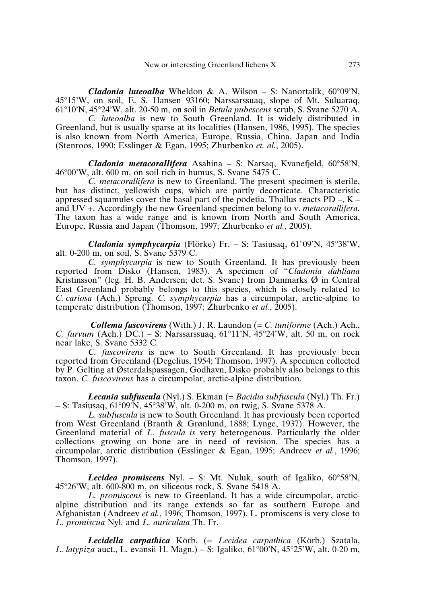*Cladonia luteoalba* Wheldon & A. Wilson – S: Nanortalik, 60°09'N, 45°15'W, on soil, E. S. Hansen 93160; Narssarssuaq, slope of Mt. Suluaraq, 61°10'N, 45°24'W, alt. 20-50 m, on soil in *Betula pubescens* scrub, S. Svane 5270 A.

*C. luteoalba* is new to South Greenland. It is widely distributed in Greenland, but is usually sparse at its localities (Hansen, 1986, 1995). The species is also known from North America, Europe, Russia, China, Japan and India (Stenroos, 1990; Esslinger & Egan, 1995; Zhurbenko *et. al.*, 2005).

*Cladonia metacorallifera* Asahina – S: Narsaq, Kvanefjeld, 60°58'N,  $46^{\circ}00'$ W, alt. 600 m, on soil rich in humus, S. Svane 5475 C.

*C. metacorallifera* is new to Greenland. The present specimen is sterile, but has distinct, yellowish cups, which are partly decorticate. Characteristic appressed squamules cover the basal part of the podetia. Thallus reacts  $PD - K$ and UV +. Accordingly the new Greenland specimen belong to v. *metacorallifera*. The taxon has a wide range and is known from North and South America, Europe, Russia and Japan (Thomson, 1997; Zhurbenko *et al.*, 2005).

*Cladonia symphycarpia* (Flörke) Fr. – S: Tasiusaq, 61°09'N, 45°38'W, alt. 0-200 m, on soil, S. Svane 5379 C.

*C. symphycarpia* is new to South Greenland. It has previously been reported from Disko (Hansen, 1983). A specimen of "*Cladonia dahliana* Kristinsson" (leg. H. B. Andersen; det. S. Svane) from Danmarks Ø in Central East Greenland probably belongs to this species, which is closely related to *C. cariosa* (Ach.) Spreng. *C. symphycarpia* has a circumpolar, arctic-alpine to temperate distribution (Thomson, 1997; Zhurbenko *et al.*, 2005).

*Collema fuscovirens* (With.) J. R. Laundon (= *C. tuniforme* (Ach.) Ach., *C. furvum* (Ach.) DC.) – S: Narssarssuaq, 61°11'N, 45°24'W, alt. 50 m, on rock near lake, S. Svane 5332 C.

*C. fuscovirens* is new to South Greenland. It has previously been reported from Greenland (Degelius, 1954; Thomson, 1997). A specimen collected by P. Gelting at Østerdalspassagen, Godhavn, Disko probably also belongs to this taxon. *C. fuscovirens* has a circumpolar, arctic-alpine distribution.

*Lecania subfuscula* (Nyl.) S. Ekman (= *Bacidia subfuscula* (Nyl.) Th. Fr.) – S: Tasiusaq,  $61^{\circ}09^{\circ}$ N,  $45^{\circ}38^{\circ}$ W, alt. 0-200 m, on twig, S. Svane 5378 A.

*L. subfuscula* is new to South Greenland. It has previously been reported from West Greenland (Branth & Grønlund, 1888; Lynge, 1937). However, the Greenland material of *L. fuscula is* very heterogenous. Particularly the older collections growing on bone are in need of revision. The species has a circumpolar, arctic distribution (Esslinger & Egan, 1995; Andreev *et al.*, 1996; Thomson, 1997).

*Lecidea promiscens* Nyl. – S: Mt. Nuluk, south of Igaliko, 60°58'N, 45°26'W, alt. 600-800 m, on siliceous rock, S. Svane 5418 A.

*L. promiscens* is new to Greenland. It has a wide circumpolar, arcticalpine distribution and its range extends so far as southern Europe and Afghanistan (Andreev *et al.*, 1996; Thomson, 1997). L. promiscens is very close to *L. promiscua* Nyl. and *L. auriculata* Th. Fr.

*Lecidella carpathica* Körb. (= *Lecidea carpathica* (Körb.) Szatala, *L. latypiza* auct., L. evansii H. Magn.) – S: Igaliko, 61°00'N, 45°25'W, alt. 0-20 m,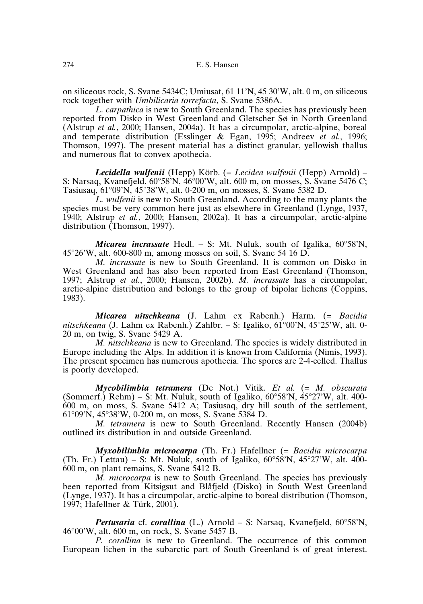on siliceous rock, S. Svane 5434C; Umiusat, 61 11'N, 45 30'W, alt. 0 m, on siliceous rock together with *Umbilicaria torrefacta*, S. Svane 5386A.

*L. carpathica* is new to South Greenland. The species has previously been reported from Disko in West Greenland and Gletscher Sø in North Greenland (Alstrup *et al.*, 2000; Hansen, 2004a). It has a circumpolar, arctic-alpine, boreal and temperate distribution (Esslinger & Egan, 1995; Andreev *et al.*, 1996; Thomson, 1997). The present material has a distinct granular, yellowish thallus and numerous flat to convex apothecia.

*Lecidella wulfenii* (Hepp) Körb. (= *Lecidea wulfenii* (Hepp) Arnold) – S: Narsaq, Kvanefjeld, 60°58'N, 46°00'W, alt. 600 m, on mosses, S. Svane 5476 C; Tasiusaq, 61°09'N, 45°38'W, alt. 0-200 m, on mosses, S. Svane 5382 D.

*L. wulfenii* is new to South Greenland. According to the many plants the species must be very common here just as elsewhere in Greenland (Lynge, 1937, 1940; Alstrup *et al.*, 2000; Hansen, 2002a). It has a circumpolar, arctic-alpine distribution (Thomson, 1997).

*Micarea incrassate* Hedl. – S: Mt. Nuluk, south of Igalika, 60°58'N, 45°26'W, alt. 600-800 m, among mosses on soil, S. Svane 54 16 D.

*M. incrassate* is new to South Greenland. It is common on Disko in West Greenland and has also been reported from East Greenland (Thomson, 1997; Alstrup *et al.*, 2000; Hansen, 2002b). *M. incrassate* has a circumpolar, arctic-alpine distribution and belongs to the group of bipolar lichens (Coppins, 1983).

*Micarea nitschkeana* (J. Lahm ex Rabenh.) Harm. (= *Bacidia nitschkeana* (J. Lahm ex Rabenh.) Zahlbr. – S: Igaliko, 61°00'N, 45°25'W, alt. 0- 20 m, on twig, S. Svane 5429 A.

*M. nitschkeana* is new to Greenland. The species is widely distributed in Europe including the Alps. In addition it is known from California (Nimis, 1993). The present specimen has numerous apothecia. The spores are 2-4-celled. Thallus is poorly developed.

*Mycobilimbia tetramera* (De Not.) Vitik. *Et al.* (= *M. obscurata* (Sommerf.) Rehm) – S: Mt. Nuluk, south of Igaliko,  $60^{\circ}58^{\prime}N$ ,  $45^{\circ}27^{\prime}W$ , alt. 400-600 m, on moss, S. Svane 5412 A; Tasiusaq, dry hill south of the settlement, 61°09'N, 45°38'W, 0-200 m, on moss, S. Svane 5384 D.

*M. tetramera* is new to South Greenland. Recently Hansen (2004b) outlined its distribution in and outside Greenland.

*Myxobilimbia microcarpa* (Th. Fr.) Hafellner (= *Bacidia microcarpa* (Th. Fr.) Lettau) – S: Mt. Nuluk, south of Igaliko,  $60^{\circ}58'N$ ,  $45^{\circ}27'W$ , alt. 400-600 m, on plant remains, S. Svane 5412 B.

*M. microcarpa* is new to South Greenland. The species has previously been reported from Kitsigsut and Blåfjeld (Disko) in South West Greenland (Lynge, 1937). It has a circumpolar, arctic-alpine to boreal distribution (Thomson, 1997; Hafellner & Türk, 2001).

*Pertusaria* cf. *corallina* (L.) Arnold – S: Narsaq, Kvanefjeld, 60°58'N, 46°00'W, alt. 600 m, on rock, S. Svane 5457 B.

*P. corallina* is new to Greenland. The occurrence of this common European lichen in the subarctic part of South Greenland is of great interest.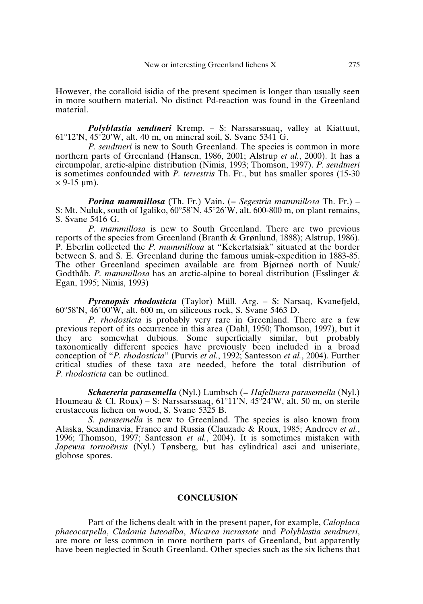However, the coralloid isidia of the present specimen is longer than usually seen in more southern material. No distinct Pd-reaction was found in the Greenland material.

*Polyblastia sendtneri* Kremp. – S: Narssarssuaq, valley at Kiattuut, 61°12'N, 45°20'W, alt. 40 m, on mineral soil, S. Svane 5341 G.

*P. sendtneri* is new to South Greenland. The species is common in more northern parts of Greenland (Hansen, 1986, 2001; Alstrup *et al.*, 2000). It has a circumpolar, arctic-alpine distribution (Nimis, 1993; Thomson, 1997). *P. sendtneri* is sometimes confounded with *P. terrestris* Th. Fr., but has smaller spores (15-30  $\times$  9-15 µm).

*Porina mammillosa* (Th. Fr.) Vain. (= *Segestria mammillosa* Th. Fr.) – S: Mt. Nuluk, south of Igaliko,  $60^{\circ}58^{\prime}\text{N}$ ,  $45^{\circ}26^{\prime}\text{W}$ , alt. 600-800 m, on plant remains, S. Svane 5416 G.

*P. mammillosa* is new to South Greenland. There are two previous reports of the species from Greenland (Branth & Grønlund, 1888); Alstrup, 1986). P. Eberlin collected the *P. mammillosa* at "Kekertatsiak" situated at the border between S. and S. E. Greenland during the famous umiak-expedition in 1883-85. The other Greenland specimen available are from Bjørneø north of Nuuk/ Godthåb. *P. mammillosa* has an arctic-alpine to boreal distribution (Esslinger & Egan, 1995; Nimis, 1993)

*Pyrenopsis rhodosticta* (Taylor) Müll. Arg. – S: Narsaq, Kvanefjeld, 60°58'N, 46°00'W, alt. 600 m, on siliceous rock, S. Svane 5463 D.

*P. rhodosticta* is probably very rare in Greenland. There are a few previous report of its occurrence in this area (Dahl, 1950; Thomson, 1997), but it they are somewhat dubious. Some superficially similar, but probably taxonomically different species have previously been included in a broad conception of "*P. rhodosticta*" (Purvis *et al.*, 1992; Santesson *et al.*, 2004). Further critical studies of these taxa are needed, before the total distribution of *P. rhodosticta* can be outlined.

*Schaereria parasemella* (Nyl.) Lumbsch (= *Hafellnera parasemella* (Nyl.) Houmeau & Cl. Roux) – S: Narssarssuag,  $61^{\circ}11'N$ ,  $45^{\circ}24'W$ , alt. 50 m, on sterile crustaceous lichen on wood, S. Svane 5325 B.

*S. parasemella* is new to Greenland. The species is also known from Alaska, Scandinavia, France and Russia (Clauzade & Roux, 1985; Andreev *et al.*, 1996; Thomson, 1997; Santesson *et al.*, 2004). It is sometimes mistaken with *Japewia tornoënsis* (Nyl.) Tønsberg, but has cylindrical asci and uniseriate, globose spores.

#### **CONCLUSION**

Part of the lichens dealt with in the present paper, for example, *Caloplaca phaeocarpella*, *Cladonia luteoalba*, *Micarea incrassate* and *Polyblastia sendtneri*, are more or less common in more northern parts of Greenland, but apparently have been neglected in South Greenland. Other species such as the six lichens that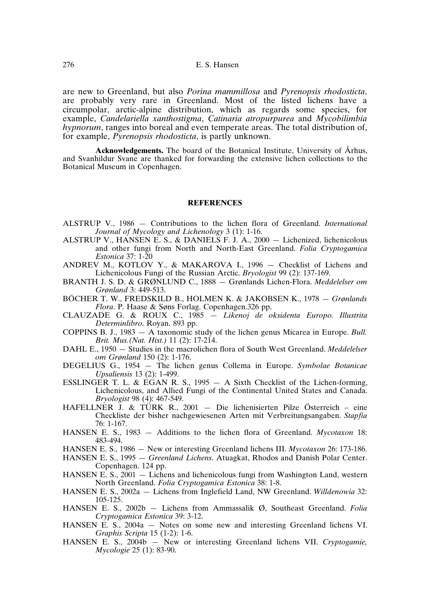are new to Greenland, but also *Porina mammillosa* and *Pyrenopsis rhodosticta*, are probably very rare in Greenland. Most of the listed lichens have a circumpolar, arctic-alpine distribution, which as regards some species, for example, *Candelariella xanthostigma*, *Catinaria atropurpurea* and *Mycobilimbia hypnorum*, ranges into boreal and even temperate areas. The total distribution of, for example, *Pyrenopsis rhodosticta*, is partly unknown.

**Acknowledgements.** The board of the Botanical Institute, University of Århus, and Svanhildur Svane are thanked for forwarding the extensive lichen collections to the Botanical Museum in Copenhagen.

#### **REFERENCES**

- ALSTRUP V., 1986 Contributions to the lichen flora of Greenland. *International Journal of Mycology and Lichenology* 3 (1): 1-16.
- ALSTRUP V., HANSEN E. S., & DANIELS F. J. A., 2000 Lichenized, lichenicolous and other fungi from North and North-East Greenland. *Folia Cryptogamica Estonica* 37: 1-20
- ANDREV M., KOTLOV Y., & MAKAROVA I., 1996 Checklist of Lichens and Lichenicolous Fungi of the Russian Arctic. *Bryologist* 99 (2): 137-169.
- BRANTH J. S. D. & GRØNLUND C., 1888 Grønlands Lichen-Flora. *Meddelelser om Grønland* 3: 449-513.
- BÖCHER T. W., FREDSKILD B., HOLMEN K. & JAKOBSEN K., 1978 *Grønlands Flora*. P. Haase & Søns Forlag. Copenhagen.326 pp.
- CLAUZADE G. & ROUX C., 1985 *Likenoj de oksidenta Europo. Illustrita Determinlibro*. Royan. 893 pp.
- COPPINS B. J., 1983 A taxonomic study of the lichen genus Micarea in Europe. *Bull. Brit. Mus.(Nat. Hist.)* 11 (2): 17-214.
- DAHL E., 1950 Studies in the macrolichen flora of South West Greenland. *Meddelelser om Grønland* 150 (2): 1-176.
- DEGELIUS G., 1954 The lichen genus Collema in Europe. *Symbolae Botanicae Upsaliensis* 13 (2): 1-499.
- ESSLINGER T. L. & EGAN R. S., 1995 A Sixth Checklist of the Lichen-forming, Lichenicolous, and Allied Fungi of the Continental United States and Canada. *Bryologist* 98 (4): 467-549.
- HAFELLNER J. & TÜRK R., 2001 Die lichenisierten Pilze Österreich eine Checkliste der bisher nachgewiesenen Arten mit Verbreitungsangaben. *Stapfia* 76: 1-167.
- HANSEN E. S., 1983 Additions to the lichen flora of Greenland. *Mycotaxon* 18: 483-494.
- HANSEN E. S., 1986 New or interesting Greenland lichens III. *Mycotaxon* 26: 173-186.
- HANSEN E. S., 1995 *Greenland Lichens*. Atuagkat, Rhodos and Danish Polar Center. Copenhagen. 124 pp.
- HANSEN E. S., 2001 Lichens and lichenicolous fungi from Washington Land, western North Greenland. *Folia Cryptogamica Estonica* 38: 1-8.
- HANSEN E. S., 2002a Lichens from Inglefield Land, NW Greenland. *Willdenowia* 32: 105-125.
- HANSEN E. S., 2002b Lichens from Ammassalik Ø, Southeast Greenland. *Folia Cryptogamica Estonica* 39: 3-12.
- HANSEN E. S., 2004a Notes on some new and interesting Greenland lichens VI. *Graphis Scripta* 15 (1-2): 1-6.
- HANSEN E. S., 2004b New or interesting Greenland lichens VII. *Cryptogamie, Mycologie* 25 (1): 83-90.